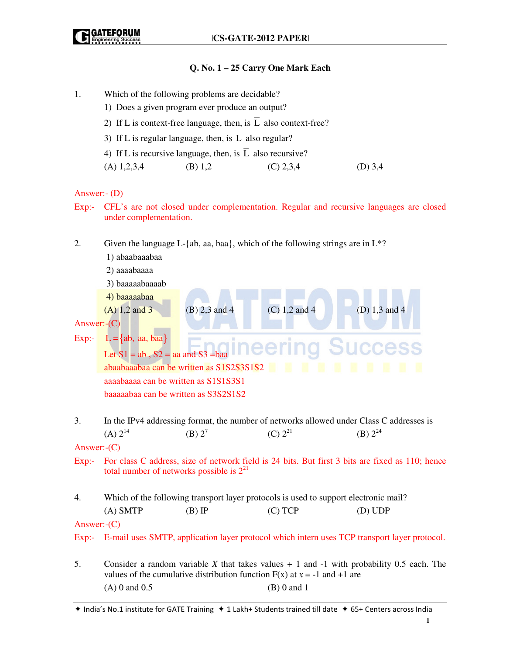## **Q. No. 1 – 25 Carry One Mark Each**

- 1. Which of the following problems are decidable?
	- 1) Does a given program ever produce an output?
	- 2) If L is context-free language, then, is  $\overline{L}$  also context-free?
	- 3) If L is regular language, then, is  $\overline{L}$  also regular?
	- 4) If L is recursive language, then, is  $\overline{L}$  also recursive?
	- (A)  $1,2,3,4$  (B)  $1,2$  (C)  $2,3,4$  (D)  $3,4$

Answer:- (D)

- Exp:- CFL's are not closed under complementation. Regular and recursive languages are closed under complementation.
- 2. Given the language L-{ab, aa, baa}, which of the following strings are in  $L^*$ ? 1) abaabaaabaa 2) aaaabaaaa 3) baaaaabaaaab 4) baaaaabaa (A) 1,2 and 3 (B) 2,3 and 4 (C) 1,2 and 4 (D) 1,3 and 4 Answer:-(C) Exp:-  $L = \{ab, aa, baa\}$ Let  $S1 = ab$ ,  $S2 = aa$  and  $S3 = baa$  abaabaaabaa can be written as S1S2S3S1S2 aaaabaaaa can be written as S1S1S3S1 baaaaabaa can be written as S3S2S1S2 3. In the IPv4 addressing format, the number of networks allowed under Class C addresses is (A)  $2^{14}$  (B)  $2^7$  (C)  $2^{21}$  (B)  $2^{24}$ Answer:-(C) Exp:- For class C address, size of network field is 24 bits. But first 3 bits are fixed as 110; hence total number of networks possible is  $2^{21}$ 4. Which of the following transport layer protocols is used to support electronic mail? (A) SMTP (B) IP (C) TCP (D) UDP Answer:-(C) Exp:- E-mail uses SMTP, application layer protocol which intern uses TCP transport layer protocol. 5. Consider a random variable *X* that takes values + 1 and -1 with probability 0.5 each. The values of the cumulative distribution function  $F(x)$  at  $x = -1$  and  $x = +1$  are (A) 0 and 0.5 (B) 0 and 1

 $*$  India's No.1 institute for GATE Training  $*$  1 Lakh+ Students trained till date  $*$  65+ Centers across India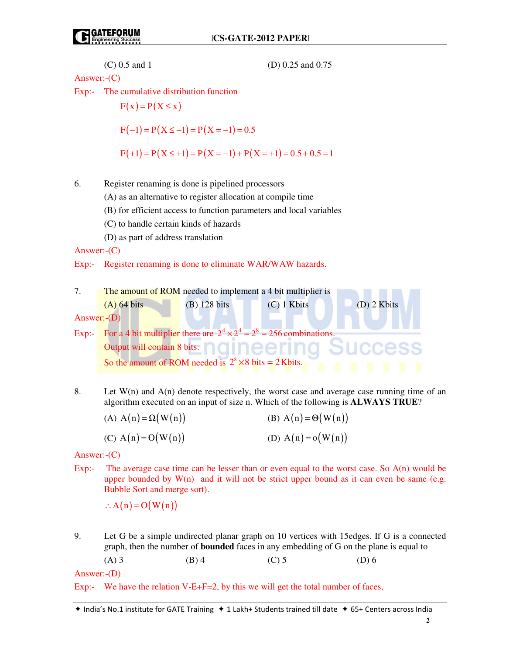\n- (C) 0.5 and 1
\n- (D) 0.25 and 0.75
\n
\nAnswer:-(C)

\nExp:- The cumulative distribution function

\n
$$
F(x) = P(X \leq x)
$$
\n
$$
F(-1) = P(X \leq -1) = P(X = -1) = 0.5
$$
\n
$$
F(+1) = P(X \leq +1) = P(X = -1) + P(X = +1) = 0.5 + 0.5 = 1
$$
\n\n6. Register renaming is done is pipelined processors

\n\n- (A) as an alternative to register allocation at compile time
\n- (B) for efficient access to function parameters and local variables
\n- (C) to handle certain kinds of hazards
\n- (D) as part of address translation
\n
\nAnswer:-(C)

\nExp:- Register renaming is done to eliminate WAR/WAW hazards.

\n7. The amount of ROM needed to implement a 4 bit multiplier is

\n\n- (A) 64 bits
\n- (B) 128 bits
\n- (C) 1 Kbits
\n
\nAnswer:-(D)

\nExp:- For a 4 bit multiplier there are  $2^4 \times 2^4 = 2^8 = 256$  combinations.

\nOutput will contain 8 bits.

\nSo the amount of ROM needed is  $2^8 \times 8$  bits = 2 Kbits.

\n50

\n60

\n61

\n62

\n63

8. Let  $W(n)$  and  $A(n)$  denote respectively, the worst case and average case running time of an algorithm executed on an input of size n. Which of the following is **ALWAYS TRUE**?

| (A) $A(n) = \Omega(W(n))$ | (B) $A(n) = \Theta(W(n))$ |
|---------------------------|---------------------------|
| (C) $A(n) = O(W(n))$      | (D) $A(n) = o(W(n))$      |

Answer:-(C)

Exp:- The average case time can be lesser than or even equal to the worst case. So A(n) would be upper bounded by  $W(n)$  and it will not be strict upper bound as it can even be same (e.g. Bubble Sort and merge sort).

 $\therefore$  A(n) = O(W(n))

9. Let G be a simple undirected planar graph on 10 vertices with 15edges. If G is a connected graph, then the number of **bounded** faces in any embedding of G on the plane is equal to (A) 3 (B) 4 (C) 5 (D) 6

Answer:-(D)

Exp:- We have the relation V-E+F=2, by this we will get the total number of faces,

 $*$  India's No.1 institute for GATE Training  $*$  1 Lakh+ Students trained till date  $*$  65+ Centers across India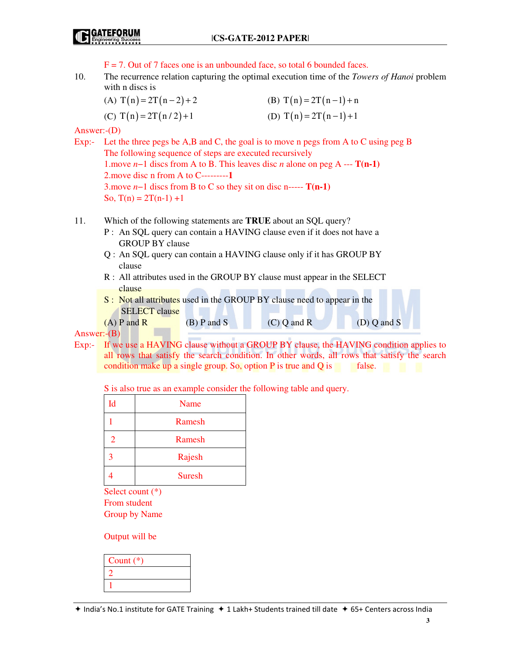$F = 7$ . Out of 7 faces one is an unbounded face, so total 6 bounded faces.

- 10. The recurrence relation capturing the optimal execution time of the *Towers of Hanoi* problem with n discs is
	- (A)  $T(n) = 2T(n-2) + 2$  (B)  $T(n) = 2T(n-1) + n$
	- (C)  $T(n) = 2T(n/2) + 1$  (D)  $T(n) = 2T(n-1) + 1$

Answer:-(D)

- Exp:- Let the three pegs be A,B and C, the goal is to move n pegs from A to C using peg B The following sequence of steps are executed recursively 1.move *n*−1 discs from A to B. This leaves disc *n* alone on peg A --- **T(n-1)** 2.move disc n from A to C---------**1**  3.move *n*−1 discs from B to C so they sit on disc n----- **T(n-1)** So,  $T(n) = 2T(n-1) +1$
- 11. Which of the following statements are **TRUE** about an SQL query?
	- P : An SQL query can contain a HAVING clause even if it does not have a GROUP BY clause
	- Q : An SQL query can contain a HAVING clause only if it has GROUP BY clause
	- R : All attributes used in the GROUP BY clause must appear in the SELECT clause
	- S : Not all attributes used in the GROUP BY clause need to appear in the SELECT clause  $(C)$  Q and R  $(D)$  Q and S

Answer:-(B)

Exp:- If we use a HAVING clause without a GROUP BY clause, the HAVING condition applies to all rows that satisfy the search condition. In other words, all rows that satisfy the search condition make up a single group. So, option  $P$  is true and  $Q$  is false.

S is also true as an example consider the following table and query.

| Id | Name          |
|----|---------------|
|    | Ramesh        |
| 2  | Ramesh        |
| 3  | Rajesh        |
|    | <b>Suresh</b> |

 Select count (\*) From student Group by Name

Output will be

| Count $(*)$ |  |
|-------------|--|
|             |  |
|             |  |
|             |  |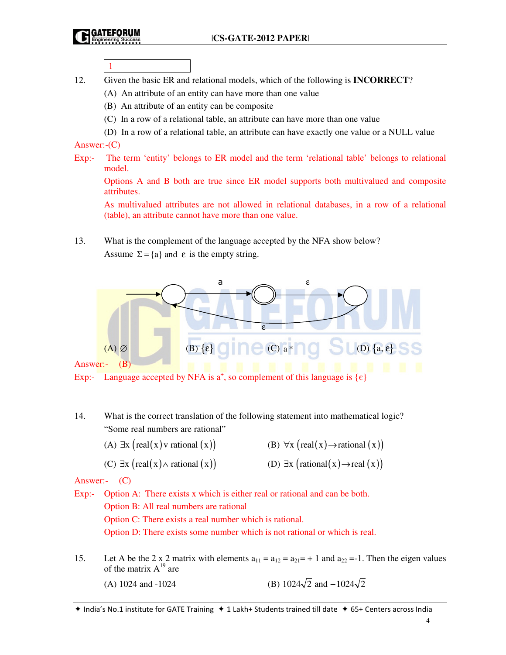1

- 12. Given the basic ER and relational models, which of the following is **INCORRECT**?
	- (A) An attribute of an entity can have more than one value
	- (B) An attribute of an entity can be composite
	- (C) In a row of a relational table, an attribute can have more than one value
	- (D) In a row of a relational table, an attribute can have exactly one value or a NULL value

Answer:-(C)

Exp:- The term 'entity' belongs to ER model and the term 'relational table' belongs to relational model.

 Options A and B both are true since ER model supports both multivalued and composite attributes.

 As multivalued attributes are not allowed in relational databases, in a row of a relational (table), an attribute cannot have more than one value.

13. What is the complement of the language accepted by the NFA show below? Assume  $\Sigma = \{a\}$  and  $\varepsilon$  is the empty string.



Exp:- Language accepted by NFA is  $a^+$ , so complement of this language is  $\{\epsilon\}$ 

- 14. What is the correct translation of the following statement into mathematical logic? "Some real numbers are rational"
	- (A)  $\exists x \ (\text{real}(x) \lor \text{rational}(x))$  (B)  $\forall x \ (\text{real}(x) \to \text{rational}(x))$
- - (C)  $\exists x \ (\text{real}(x) \land \text{rational}(x))$  (D)  $\exists x \ (\text{rational}(x) \to \text{real}(x))$
- 

Answer:- (C)

- Exp:- Option A: There exists x which is either real or rational and can be both. Option B: All real numbers are rational Option C: There exists a real number which is rational.
	- Option D: There exists some number which is not rational or which is real.
- 15. Let A be the 2 x 2 matrix with elements  $a_{11} = a_{12} = a_{21} = +1$  and  $a_{22} = -1$ . Then the eigen values of the matrix  $A^{19}$  are
	- (A) 1024 and -1024 (B) 1024 $\sqrt{2}$  and -1024 $\sqrt{2}$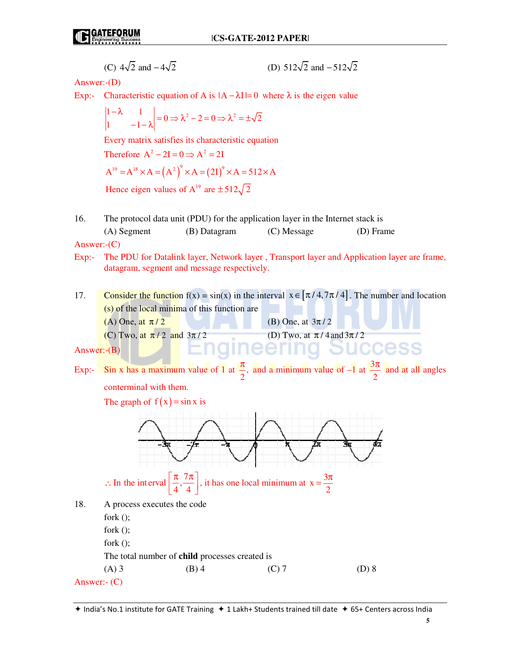(C) 
$$
4\sqrt{2}
$$
 and  $-4\sqrt{2}$  (D)  $512\sqrt{2}$  and  $-512\sqrt{2}$ 

Answer:-(D)

Exp:- Characteristic equation of A is  $|A - \lambda I| = 0$  where  $\lambda$  is the eigen value

$$
\begin{vmatrix} 1 - \lambda & 1 \\ 1 & -1 - \lambda \end{vmatrix} = 0 \Rightarrow \lambda^2 - 2 = 0 \Rightarrow \lambda^2 = \pm \sqrt{2}
$$

Every matrix satisfies its characteristic equation

Therefore 
$$
A^2 - 2I = 0 \Rightarrow A^2 = 2I
$$

$$
A^{19} = A^{18} \times A = (A^2)^9 \times A = (2I)^9 \times A = 512 \times A
$$

Hence eigen values of  $A^{19}$  are  $\pm 512\sqrt{2}$ 

16. The protocol data unit (PDU) for the application layer in the Internet stack is (A) Segment (B) Datagram (C) Message (D) Frame

Answer:-(C)

- Exp:- The PDU for Datalink layer, Network layer , Transport layer and Application layer are frame, datagram, segment and message respectively.
- 17. Consider the function  $f(x) = sin(x)$  in the interval  $x \in [\pi/4, 7\pi/4]$ . The number and location (s) of the local minima of this function are (A) One, at  $\pi/2$  (B) One, at  $3\pi/2$ (C) Two, at  $\pi/2$  and  $3\pi/2$  (D) Two, at  $\pi/4$  and  $3\pi/2$ cess

```
Answer:-(B)
```
Exp:- Sin x has a maximum value of 1 at  $\frac{1}{2}$ , 2  $\frac{\pi}{2}$ , and a minimum value of -1 at  $\frac{3}{4}$ 2  $\frac{\pi}{2}$  and at all angles conterminal with them. The graph of  $f(x) = \sin x$  is

 $=\frac{3\pi}{2}$ 

 $\therefore$  In the interval ∴ In the interval  $\left[\frac{\pi}{4}, \frac{7\pi}{4}\right]$ , it has one local minimum at  $x = \frac{3}{4}$ 

 $4'$  4 2 18. A process executes the code fork (); fork (); fork (); The total number of **child** processes created is (A) 3 (B) 4 (C) 7 (D) 8 Answer:- (C)

7

**5**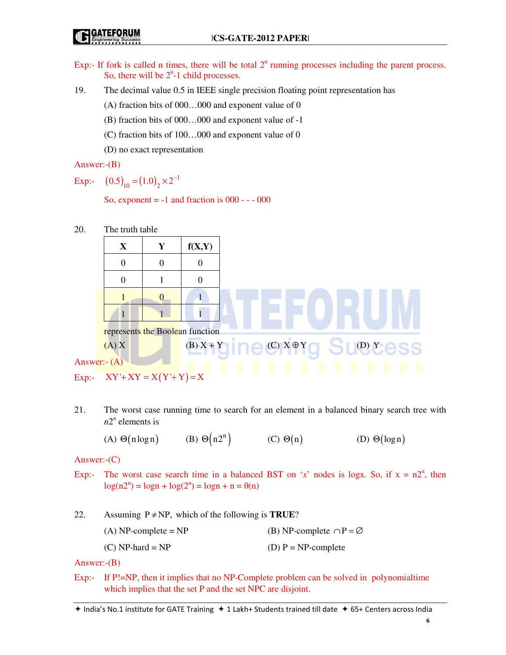Exp:- If fork is called n times, there will be total  $2<sup>n</sup>$  running processes including the parent process. So, there will be  $2<sup>n</sup>$ -1 child processes.

19. The decimal value 0.5 in IEEE single precision floating point representation has

(A) fraction bits of 000…000 and exponent value of 0

(B) fraction bits of 000…000 and exponent value of -1

(C) fraction bits of 100…000 and exponent value of 0

(D) no exact representation

Answer:-(B)

Exp:-  $(0.5)_{10} = (1.0)_{2} \times 2^{-1}$ 

So, exponent  $= -1$  and fraction is  $000 - -000$ 

20. The truth table

| $\mathbf{X}$                              | Y              | f(X,Y)                       |
|-------------------------------------------|----------------|------------------------------|
| $\theta$                                  | $\Omega$       |                              |
| $\theta$                                  |                |                              |
|                                           | $\overline{0}$ |                              |
|                                           |                |                              |
| represents the Boolean function           |                |                              |
| (A) X                                     |                | $(B) X + Y$ (C) $X \oplus Y$ |
| Answer:- $(A)$                            |                |                              |
| $F_{\rm YD}$ : $XY' + XY = X(Y' + Y) = Y$ |                |                              |

```
Ansy
```

```
Exp:- XY' + XY = X(Y' + Y) = X
```
21. The worst case running time to search for an element in a balanced binary search tree with  $n2^n$  elements is

(A)  $\Theta(n \log n)$ (B)  $\Theta(n2^n)$  (C)  $\Theta(n)$  (D)  $\Theta(\log n)$ 

Answer:-(C)

Exp:- The worst case search time in a balanced BST on '*x*' nodes is logx. So, if  $x = n2^n$ , then  $log(n2<sup>n</sup>) = logn + log(2<sup>n</sup>) = logn + n = \theta(n)$ 

22. Assuming  $P \neq NP$ , which of the following is **TRUE**?

| $(A) NP-complete = NP$ | (B) NP-complete $\cap P = \emptyset$ |
|------------------------|--------------------------------------|
| $(C) NP-hard = NP$     | (D) $P = NP$ -complete               |

Answer:-(B)

Exp:- If P!=NP, then it implies that no NP-Complete problem can be solved in polynomialtime which implies that the set P and the set NPC are disjoint.

 $*$  India's No.1 institute for GATE Training  $*$  1 Lakh+ Students trained till date  $*$  65+ Centers across India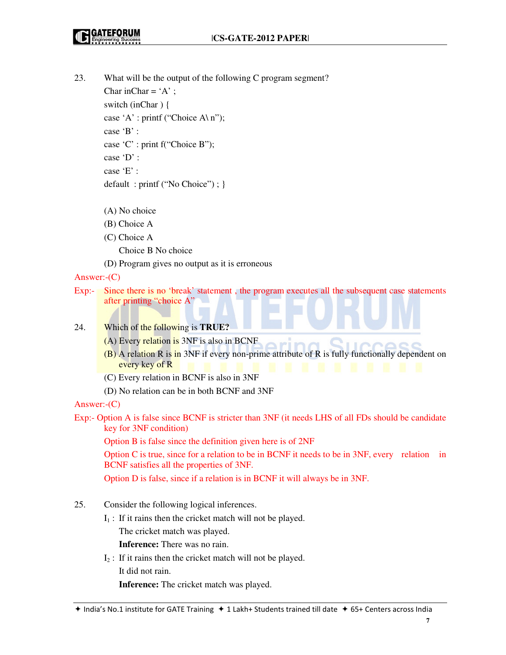- 23. What will be the output of the following C program segment? Char inChar =  $A$ ; switch (inChar ) { case 'A' : printf ("Choice A\ n"); case 'B' : case 'C' : print f("Choice B"); case 'D' : case 'E' : default : printf ("No Choice") ; }
	- (A) No choice
	- (B) Choice A
	- (C) Choice A

Choice B No choice

(D) Program gives no output as it is erroneous

Answer:-(C)

- Exp:- Since there is no 'break' statement , the program executes all the subsequent case statements after printing "choice A"
- 24. Which of the following is **TRUE?**
	- (A) Every relation is 3NF is also in BCNF
	- (B) A relation R is in 3NF if every non-prime attribute of R is fully functionally dependent on every key of R
	- (C) Every relation in BCNF is also in 3NF
	- (D) No relation can be in both BCNF and 3NF

Answer:-(C)

Exp:- Option A is false since BCNF is stricter than 3NF (it needs LHS of all FDs should be candidate key for 3NF condition)

Option B is false since the definition given here is of 2NF

 Option C is true, since for a relation to be in BCNF it needs to be in 3NF, every relation in BCNF satisfies all the properties of 3NF.

Option D is false, since if a relation is in BCNF it will always be in 3NF.

- 25. Consider the following logical inferences.
	- $I_1$ : If it rains then the cricket match will not be played.

The cricket match was played.

 **Inference:** There was no rain.

 $I_2$ : If it rains then the cricket match will not be played.

It did not rain.

 **Inference:** The cricket match was played.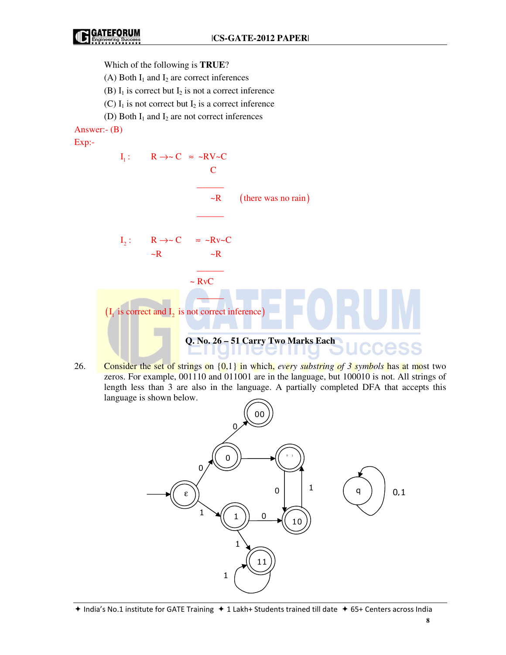Which of the following is **TRUE**?

(A) Both  $I_1$  and  $I_2$  are correct inferences

(B)  $I_1$  is correct but  $I_2$  is not a correct inference

- (C)  $I_1$  is not correct but  $I_2$  is a correct inference
- (D) Both  $I_1$  and  $I_2$  are not correct inferences

Answer:- (B)

Exp:-



26. Consider the set of strings on {0,1} in which, *every substring of 3 symbols* has at most two zeros. For example, 001110 and 011001 are in the language, but 100010 is not. All strings of length less than 3 are also in the language. A partially completed DFA that accepts this language is shown below.



 $*$  India's No.1 institute for GATE Training  $*$  1 Lakh+ Students trained till date  $*$  65+ Centers across India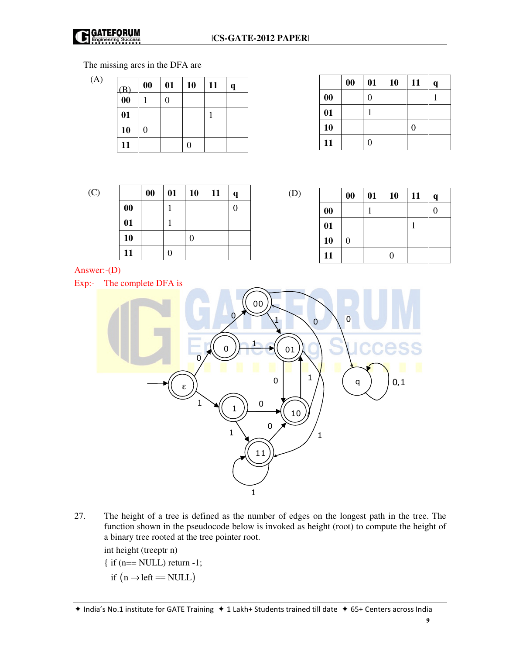

(D)

## The missing arcs in the DFA are

(A)

| (B)                 | $\boldsymbol{00}$ | 01 | 10 | 11 | q |
|---------------------|-------------------|----|----|----|---|
| $\overline{\bf 00}$ |                   | 0  |    |    |   |
| 01                  |                   |    |    |    |   |
| 10                  |                   |    |    |    |   |
| 11                  |                   |    | 0  |    |   |

|                   | $\boldsymbol{00}$ | 01             | 10 | 11 | $\mathbf q$ |
|-------------------|-------------------|----------------|----|----|-------------|
| $\boldsymbol{00}$ |                   | $\overline{0}$ |    |    |             |
| 01                |                   |                |    |    |             |
| 10                |                   |                |    |    |             |
| 11                |                   | 0              |    |    |             |

|--|

|    | $\boldsymbol{00}$ | 01 | 10 | 11 | $\mathbf q$ |
|----|-------------------|----|----|----|-------------|
| 00 |                   |    |    |    | 0           |
| 01 |                   |    |    |    |             |
| 10 |                   |    |    |    |             |
| 11 |                   | 0  |    |    |             |

|                   | 00 | 01 | 10 | 11 | q |
|-------------------|----|----|----|----|---|
| $\boldsymbol{00}$ |    |    |    |    | 0 |
| 01                |    |    |    |    |   |
| 10                | 0  |    |    |    |   |
| 11                |    |    | 0  |    |   |

Answer:-(D)

Exp:- The complete DFA is



27. The height of a tree is defined as the number of edges on the longest path in the tree. The function shown in the pseudocode below is invoked as height (root) to compute the height of a binary tree rooted at the tree pointer root.

int height (treeptr n)

- { if (n== NULL) return -1;
- if  $(n \rightarrow left == NULL)$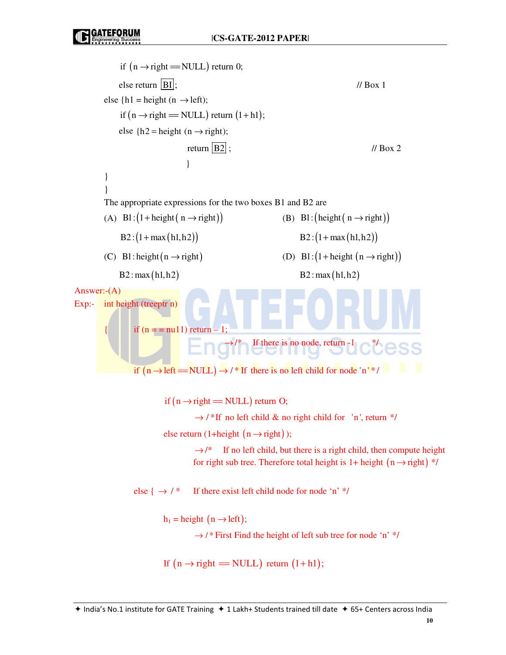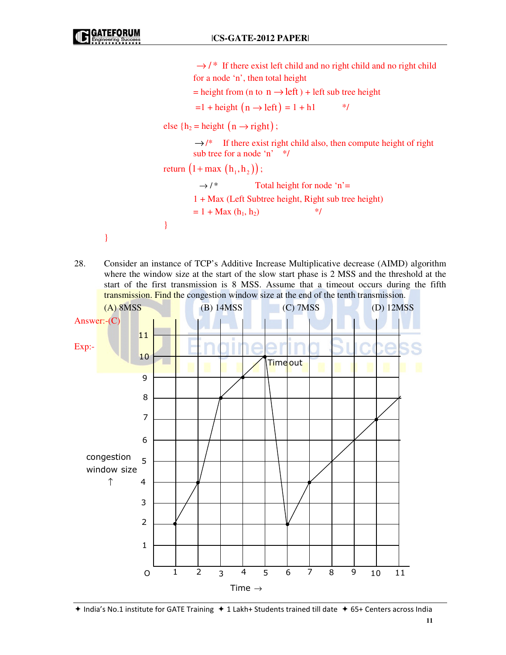```
\rightarrow / ^* If there exist left child and no right child and no right child
                                    for a node 'n', then total height 
                                   = height from (n to n \rightarrow left) + left sub tree height
                                    =1 + \text{height} (n \rightarrow \text{left}) = 1 + h1 */
                          else {h_2 = height (n \rightarrow right);
                                    \rightarrow/* If there exist right child also, then compute height of right
                                   sub tree for a node 'n' */ 
                          return (1 + max(h_1, h_2));
                                     \rightarrow /* Total height for node 'n'=
                                    1 + Max (Left Subtree height, Right sub tree height) 
                                   = 1 + \text{Max} (\mathbf{h}_1, \mathbf{h}_2) */
 } 
         }
```
28. Consider an instance of TCP's Additive Increase Multiplicative decrease (AIMD) algorithm where the window size at the start of the slow start phase is 2 MSS and the threshold at the start of the first transmission is 8 MSS. Assume that a timeout occurs during the fifth transmission. Find the congestion window size at the end of the tenth transmission.



 $*$  India's No.1 institute for GATE Training  $*$  1 Lakh+ Students trained till date  $*$  65+ Centers across India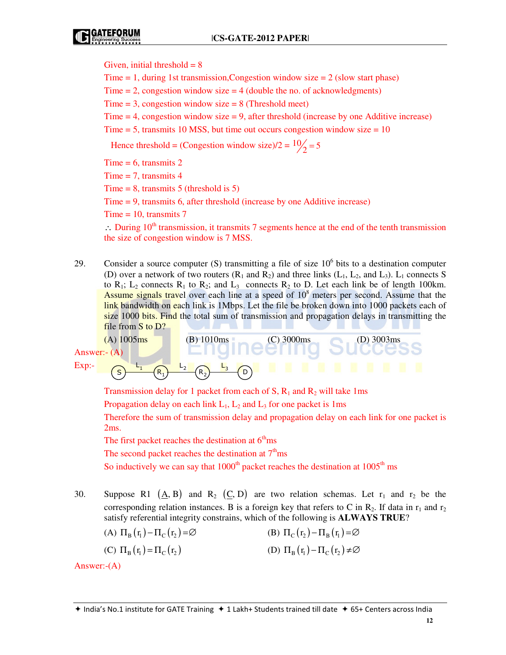Given, initial threshold  $= 8$ 

Time  $= 1$ , during 1st transmission, Congestion window size  $= 2$  (slow start phase)

Time  $= 2$ , congestion window size  $= 4$  (double the no. of acknowledgments)

Time  $= 3$ , congestion window size  $= 8$  (Threshold meet)

Time  $= 4$ , congestion window size  $= 9$ , after threshold (increase by one Additive increase)

Time  $= 5$ , transmits 10 MSS, but time out occurs congestion window size  $= 10$ 

Hence threshold = (Congestion window size)/2 =  $\frac{10}{2}$  = 5

Time  $= 6$ , transmits 2

 $Time = 7$ , transmits 4

Time  $= 8$ , transmits 5 (threshold is 5)

Time = 9, transmits 6, after threshold (increase by one Additive increase)

Time  $= 10$ , transmits  $7$ 

∴ During  $10<sup>th</sup>$  transmission, it transmits 7 segments hence at the end of the tenth transmission the size of congestion window is 7 MSS.

29. Consider a source computer (S) transmitting a file of size  $10<sup>6</sup>$  bits to a destination computer (D) over a network of two routers  $(R_1$  and  $R_2$ ) and three links  $(L_1, L_2,$  and  $L_3)$ .  $L_1$  connects S to  $R_1$ ;  $L_2$  connects  $R_1$  to  $R_2$ ; and  $L_3$  connects  $R_2$  to D. Let each link be of length 100km. Assume signals travel over each line at a speed of  $10<sup>8</sup>$  meters per second. Assume that the link bandwidth on each link is 1Mbps. Let the file be broken down into 1000 packets each of size 1000 bits. Find the total sum of transmission and propagation delays in transmitting the file from S to D?



Transmission delay for 1 packet from each of S,  $R_1$  and  $R_2$  will take 1ms

Propagation delay on each link  $L_1$ ,  $L_2$  and  $L_3$  for one packet is 1ms

 Therefore the sum of transmission delay and propagation delay on each link for one packet is 2ms.

The first packet reaches the destination at  $6<sup>th</sup>$ ms

The second packet reaches the destination at  $7<sup>th</sup>$ ms

So inductively we can say that  $1000<sup>th</sup>$  packet reaches the destination at  $1005<sup>th</sup>$  ms

30. Suppose R1  $(A, B)$  and R<sub>2</sub>  $(C, D)$  are two relation schemas. Let r<sub>1</sub> and r<sub>2</sub> be the corresponding relation instances. B is a foreign key that refers to C in  $R_2$ . If data in  $r_1$  and  $r_2$ satisfy referential integrity constrains, which of the following is **ALWAYS TRUE**?

(A) 
$$
\Pi_B(\mathbf{r}_1) - \Pi_C(\mathbf{r}_2) = \varnothing
$$
 (B)  $\Pi_C(\mathbf{r}_2) - \Pi_B(\mathbf{r}_1) = \varnothing$ 

(C)  $\Pi_{\rm B}(\mathbf{r}_{\rm i}) = \Pi_{\rm C}(\mathbf{r}_{\rm i})$  (D)  $\Pi_{\rm B}(\mathbf{r}_{\rm i}) - \Pi_{\rm C}(\mathbf{r}_{\rm i}) \neq \emptyset$ 

Answer:-(A)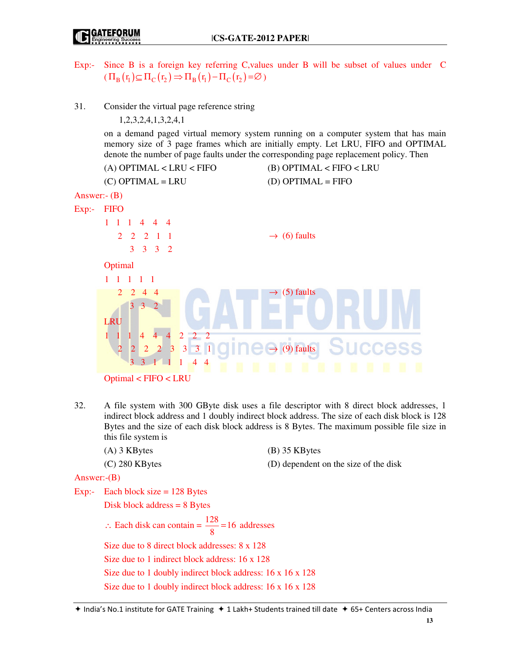- Exp:- Since B is a foreign key referring C,values under B will be subset of values under C  $(\Pi_{\rm B}(\mathbf{r}_{\rm i})\subseteq\Pi_{\rm C}(\mathbf{r}_{\rm 2})\Rightarrow\Pi_{\rm B}(\mathbf{r}_{\rm i})-\Pi_{\rm C}(\mathbf{r}_{\rm 2})=\varnothing$ )
- 31. Consider the virtual page reference string

1,2,3,2,4,1,3,2,4,1

 on a demand paged virtual memory system running on a computer system that has main memory size of 3 page frames which are initially empty. Let LRU, FIFO and OPTIMAL denote the number of page faults under the corresponding page replacement policy. Then

|               | $(A)$ OPTIMAL < LRU < FIFO                                      | $(B)$ OPTIMAL < FIFO < LRU                     |
|---------------|-----------------------------------------------------------------|------------------------------------------------|
|               | $(C)$ OPTIMAL = LRU                                             | $(D)$ OPTIMAL = FIFO                           |
| Answer: $(B)$ |                                                                 |                                                |
| Exp:          | <b>FIFO</b>                                                     |                                                |
|               | $1 \t1 \t4 \t4 \t4$<br>$\mathbf{1}$                             |                                                |
|               | $2 \t2 \t2 \t1 \t1$                                             | $\rightarrow$ (6) faults                       |
|               | 3 <sup>1</sup><br>$3 \quad 3 \quad 2$                           |                                                |
|               | Optimal                                                         |                                                |
|               | $\blacksquare$<br>$\blacksquare$<br>1<br>$\overline{1}$         |                                                |
|               | 2<br>$\overline{4}$<br>2<br>4                                   | $\rightarrow$ (5) faults                       |
|               | 3<br>3                                                          |                                                |
|               | <b>LRU</b>                                                      |                                                |
|               | $2 \quad 2 \quad 2$<br>$\overline{4}$<br>$\overline{4}$<br>Ħ    |                                                |
|               | $2$ $2$ $3$ $3$ $3$ $1$<br>$\overline{2}$<br>$\overline{2}$     | $\rightarrow$ (9) faults<br>uccess             |
|               | 3<br>$\overline{4}$<br>$\mathbf{3}$<br>$\overline{4}$<br>и<br>n | п<br>ш<br>п<br>ш<br>п<br>п<br>и<br>œ<br>п<br>٠ |
|               | Optimal < FIFO < LRU                                            |                                                |

- 32. A file system with 300 GByte disk uses a file descriptor with 8 direct block addresses, 1 indirect block address and 1 doubly indirect block address. The size of each disk block is 128 Bytes and the size of each disk block address is 8 Bytes. The maximum possible file size in this file system is
	- (A) 3 KBytes (B) 35 KBytes

(C) 280 KBytes (D) dependent on the size of the disk

Answer:-(B)

Exp:- Each block size = 128 Bytes

Disk block address = 8 Bytes

∴ Each disk can contain =  $\frac{128}{0}$  = 16 8  $= 16$  addresses Size due to 8 direct block addresses: 8 x 128 Size due to 1 indirect block address: 16 x 128 Size due to 1 doubly indirect block address: 16 x 16 x 128 Size due to 1 doubly indirect block address: 16 x 16 x 128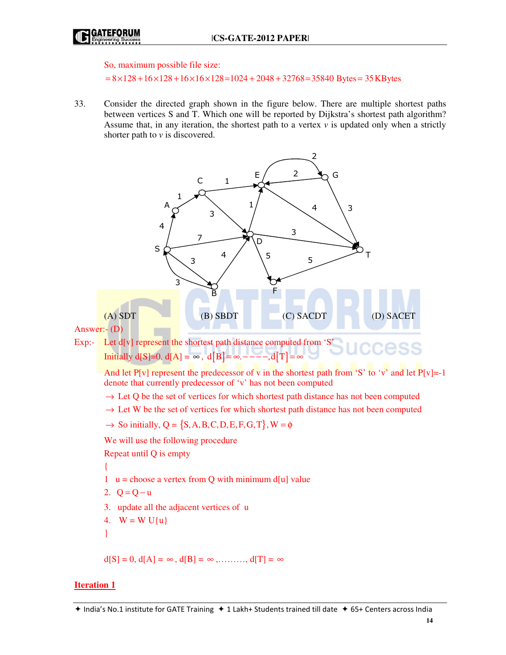

So, maximum possible file size:

 $= 8 \times 128 + 16 \times 128 + 16 \times 16 \times 128 = 1024 + 2048 + 32768 = 35840$  Bytes = 35 KBytes

33. Consider the directed graph shown in the figure below. There are multiple shortest paths between vertices S and T. Which one will be reported by Dijkstra's shortest path algorithm? Assume that, in any iteration, the shortest path to a vertex *v* is updated only when a strictly shorter path to *v* is discovered.



## **Iteration 1**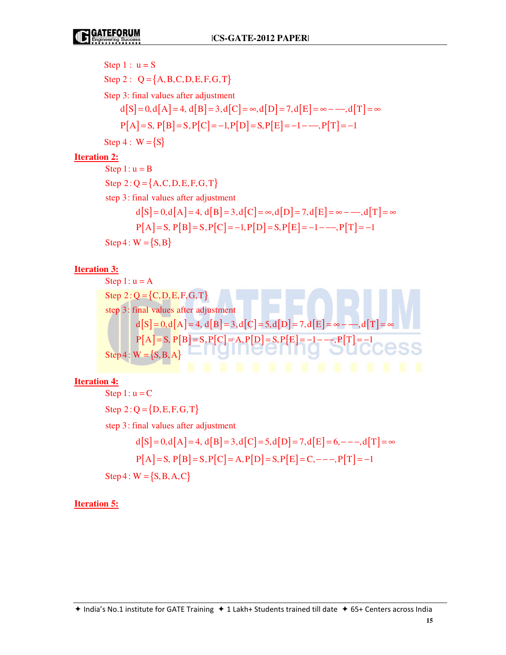Step 1: 
$$
u = S
$$
  
\nStep 2:  $Q = \{A, B, C, D, E, F, G, T\}$   
\nStep 3: final values after adjustment  
\n $d[S] = 0, d[A] = 4, d[B] = 3, d[C] = \infty, d[D] = 7, d[E] = \infty - \dots, d[T] = \infty$   
\n $P[A] = S, P[B] = S, P[C] = -1, P[D] = S, P[E] = -1 - \dots, P[T] = -1$   
\nStep 4:  $W = \{S\}$ 

## **Iteration 2:**

Step 2:  $Q = \{A, C, D, E, F, G, T\}$  $d[S] = 0, d[A] = 4, d[B] = 3, d[C] = \infty, d[D] = 7, d[E] = \infty - -1, d[T] = \infty$  $P[A] = S, P[B] = S, P[C] = -1, P[D] = S, P[E] = -1 - -1, P[T] = -1$  $Step 4 : W = {S, B}$ Step  $1: u = B$ step 3: final values after adjustment

## **Iteration 3:**

Step 1: u = A  
\nStep 2: Q = {C, D, E, F, G, T}  
\nstep 3: final values after adjustment  
\n
$$
d[S] = 0, d[A] = 4, d[B] = 3, d[C] = 5, d[D] = 7, d[E] = \infty
$$
  
\nP[A] = S, P[B] = S, P[C] = A, P[D] = S, P[E] = -1 - -, P[T] = -1  
\nStep 4: W = {S, B, A}

**Iteration 4:**

 $Step 2: Q = {D, E, F, G, T}$  $d[S] = 0, d[A] = 4, d[B] = 3, d[C] = 5, d[D] = 7, d[E] = 6, - - -, d[T] = \infty$  $P[A] = S, P[B] = S, P[C] = A, P[D] = S, P[E] = C, - - -, P[T] = -1$  $Step 4: W = {S, B, A, C}$ Step  $1: u = C$ step 3: final values after adjustment

**Iteration 5:**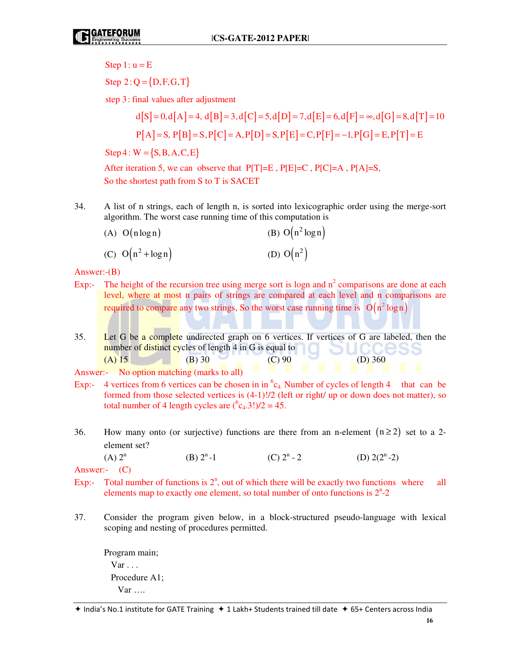Step  $1: u = E$ 

 $Step 2: Q = {D, F, G, T}$ 

step 3: final values after adjustment

$$
d[S] = 0, d[A] = 4, d[B] = 3, d[C] = 5, d[D] = 7, d[E] = 6, d[F] = \infty, d[G] = 8, d[T] = 10
$$
  
P[A] = S, P[B] = S, P[C] = A, P[D] = S, P[E] = C, P[F] = -1, P[G] = E, P[T] = E

 $Step 4: W = {S, B, A, C, E}$ 

After iteration 5, we can observe that  $P[T]=E$ ,  $P[E]=C$ ,  $P[C]=A$ ,  $P[A]=S$ , So the shortest path from S to T is SACET

34. A list of n strings, each of length n, is sorted into lexicographic order using the merge-sort algorithm. The worst case running time of this computation is

| $(A)$ O(nlogn) | (B) $O(n^2 \log n)$ |
|----------------|---------------------|
|----------------|---------------------|

(C)  $O(n^2 + \log n)$  (D)  $O(n^2)$  $O(n^2)$ 

Answer:-(B)

- Exp:- The height of the recursion tree using merge sort is logn and  $n^2$  comparisons are done at each level, where at most n pairs of strings are compared at each level and n comparisons are required to compare any two strings, So the worst case running time is  $O(n^2 \log n)$
- 35. Let G be a complete undirected graph on 6 vertices. If vertices of G are labeled, then the number of distinct cycles of length 4 in G is equal to (A) 15 (B) 30 (C) 90 (D) 360

- Exp:- 4 vertices from 6 vertices can be chosen in in  ${}^{6}c_{4}$ . Number of cycles of length 4 that can be formed from those selected vertices is (4-1)!/2 (left or right/ up or down does not matter), so total number of 4 length cycles are  $(^{6}c_{4}.3!)/2 = 45$ .
- 36. How many onto (or surjective) functions are there from an n-element  $(n \ge 2)$  set to a 2element set?
	- (A)  $2^n$  (B)  $2^n-1$  (C)  $2^n-2$ (D)  $2(2^n-2)$

Answer:- (C)

- Exp:- Total number of functions is  $2<sup>n</sup>$ , out of which there will be exactly two functions where all elements map to exactly one element, so total number of onto functions is  $2<sup>n</sup> - 2$
- 37. Consider the program given below, in a block-structured pseudo-language with lexical scoping and nesting of procedures permitted.

 Program main;  $Var \ldots$  Procedure A1; Var ….

Answer:- No option matching (marks to all)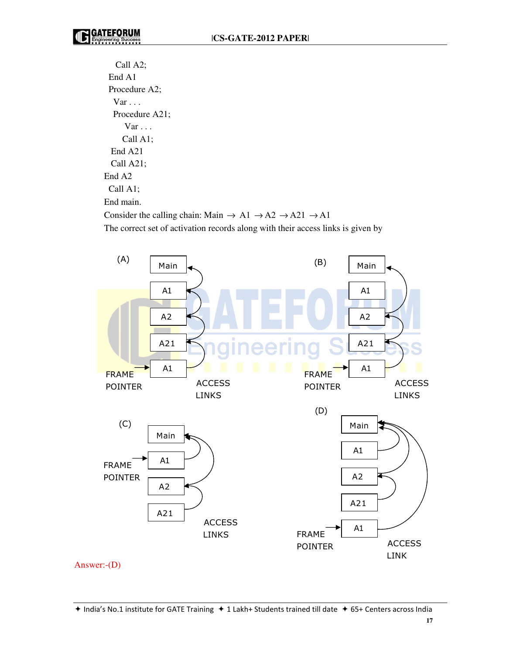Call A2; End A1 Procedure A2;  $Var \ldots$  Procedure A21; Var . . . Call A1; End A21 Call A21; End A2 Call A1; End main. Consider the calling chain: Main  $\rightarrow$  A1  $\rightarrow$  A2  $\rightarrow$  A21  $\rightarrow$  A1

The correct set of activation records along with their access links is given by



**17**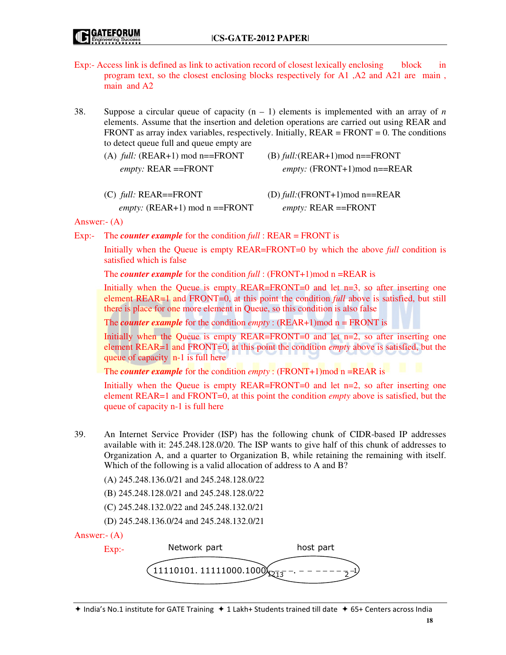- Exp:- Access link is defined as link to activation record of closest lexically enclosing block in program text, so the closest enclosing blocks respectively for A1 ,A2 and A21 are main , main and A2
- 38. Suppose a circular queue of capacity  $(n 1)$  elements is implemented with an array of *n* elements. Assume that the insertion and deletion operations are carried out using REAR and FRONT as array index variables, respectively. Initially,  $REAR = FROMT = 0$ . The conditions to detect queue full and queue empty are

| (A) $full: (REAR+1) \text{ mod } n = = FROM$ | (B) $full:(REAR+1) \text{mod } n==FRONT$ |
|----------------------------------------------|------------------------------------------|
| <i>empty:</i> $REAR = = FROMT$               | <i>empty:</i> (FRONT+1)mod n==REAR       |
|                                              |                                          |

 (C) *full:* REAR==FRONT (D) *full:*(FRONT+1)mod n==REAR *empty:* (REAR+1) mod n ==FRONT *empty:* REAR ==FRONT

Answer:- (A)

Exp:- The *counter example* for the condition *full* : REAR = FRONT is

 Initially when the Queue is empty REAR=FRONT=0 by which the above *full* condition is satisfied which is false

The *counter example* for the condition *full* : (FRONT+1)mod n =REAR is

Initially when the Queue is empty  $REAR=FRONT=0$  and let  $n=3$ , so after inserting one element REAR=1 and FRONT=0, at this point the condition *full* above is satisfied, but still there is place for one more element in Queue, so this condition is also false

The *counter example* for the condition *empty* :  $(REAR+1) \text{mod } n = FRONT$  is

Initially when the Queue is empty REAR=FRONT=0 and let n=2, so after inserting one element REAR=1 and FRONT=0, at this point the condition *empty* above is satisfied, but the queue of capacity n-1 is full here

The *counter example* for the condition *empty* : (FRONT+1)mod n =REAR is

Initially when the Queue is empty  $REAR=FRONT=0$  and let  $n=2$ , so after inserting one element REAR=1 and FRONT=0, at this point the condition *empty* above is satisfied, but the queue of capacity n-1 is full here

- 39. An Internet Service Provider (ISP) has the following chunk of CIDR-based IP addresses available with it: 245.248.128.0/20. The ISP wants to give half of this chunk of addresses to Organization A, and a quarter to Organization B, while retaining the remaining with itself. Which of the following is a valid allocation of address to A and B?
	- (A) 245.248.136.0/21 and 245.248.128.0/22
	- (B) 245.248.128.0/21 and 245.248.128.0/22
	- (C) 245.248.132.0/22 and 245.248.132.0/21
	- (D) 245.248.136.0/24 and 245.248.132.0/21

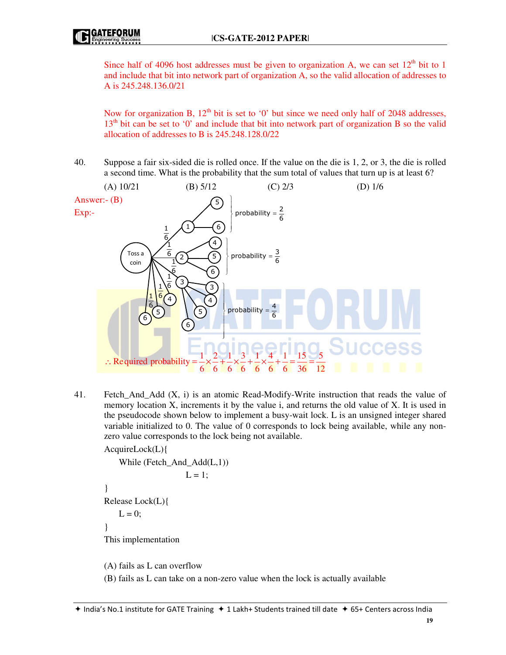Since half of 4096 host addresses must be given to organization A, we can set  $12<sup>th</sup>$  bit to 1 and include that bit into network part of organization A, so the valid allocation of addresses to A is 245.248.136.0/21

Now for organization B,  $12<sup>th</sup>$  bit is set to '0' but since we need only half of 2048 addresses,  $13<sup>th</sup>$  bit can be set to '0' and include that bit into network part of organization B so the valid allocation of addresses to B is 245.248.128.0/22

40. Suppose a fair six-sided die is rolled once. If the value on the die is 1, 2, or 3, the die is rolled a second time. What is the probability that the sum total of values that turn up is at least 6?



41. Fetch\_And\_Add (X, i) is an atomic Read-Modify-Write instruction that reads the value of memory location X, increments it by the value i, and returns the old value of X. It is used in the pseudocode shown below to implement a busy-wait lock. L is an unsigned integer shared variable initialized to 0. The value of 0 corresponds to lock being available, while any nonzero value corresponds to the lock being not available.

AcquireLock(L){

}

}

While (Fetch\_And\_Add(L,1))

\n
$$
L = 1;
$$
\nRelease Lock(L){

\n
$$
L = 0;
$$
\nThis implementation

(A) fails as L can overflow

(B) fails as L can take on a non-zero value when the lock is actually available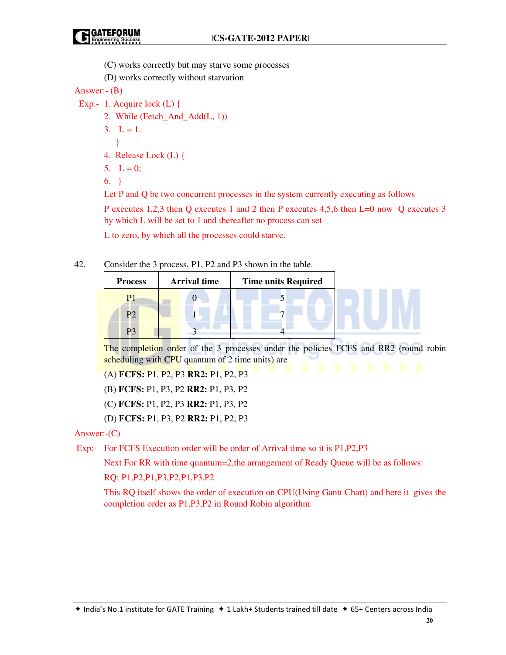- (C) works correctly but may starve some processes
- (D) works correctly without starvation

Answer:- (B)

- Exp:- 1. Acquire lock (L) {
	- 2. While (Fetch\_And\_Add(L, 1))
	- $3. \quad L = 1.$
- }
	- 4. Release Lock (L) {
	- 5.  $L = 0$ ;
	- 6. }

Let P and Q be two concurrent processes in the system currently executing as follows

 P executes 1,2,3 then Q executes 1 and 2 then P executes 4,5,6 then L=0 now Q executes 3 by which L will be set to 1 and thereafter no process can set

L to zero, by which all the processes could starve.

## 42. Consider the 3 process, P1, P2 and P3 shown in the table.

| <b>Process</b> | <b>Arrival time</b> | <b>Time units Required</b> |  |  |
|----------------|---------------------|----------------------------|--|--|
| D.             |                     |                            |  |  |
| D٦             |                     |                            |  |  |
|                |                     |                            |  |  |

The completion order of the 3 processes under the policies FCFS and RR2 (round robin scheduling with CPU quantum of 2 time units) are

(A) **FCFS:** P1, P2, P3 **RR2:** P1, P2, P3

- (B) **FCFS:** P1, P3, P2 **RR2:** P1, P3, P2
- (C) **FCFS:** P1, P2, P3 **RR2:** P1, P3, P2
- (D) **FCFS:** P1, P3, P2 **RR2:** P1, P2, P3

## Answer:-(C)

Exp:- For FCFS Execution order will be order of Arrival time so it is P1,P2,P3

Next For RR with time quantum=2,the arrangement of Ready Queue will be as follows:

## RQ: P1,P2,P1,P3,P2,P1,P3,P2

 This RQ itself shows the order of execution on CPU(Using Gantt Chart) and here it gives the completion order as P1,P3,P2 in Round Robin algorithm.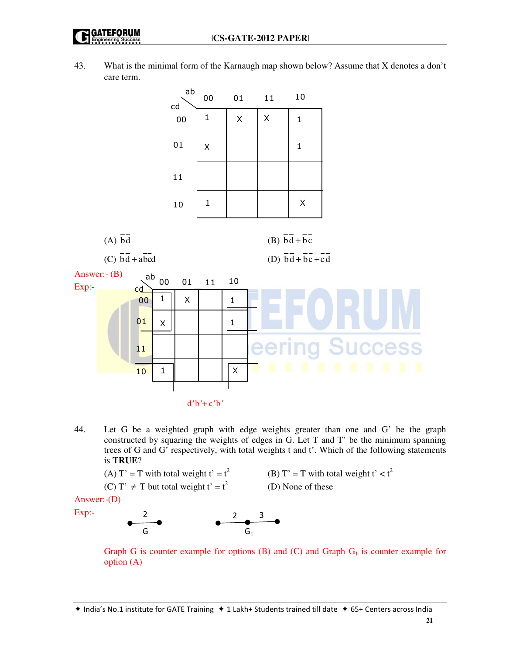43. What is the minimal form of the Karnaugh map shown below? Assume that X denotes a don't care term.



44. Let G be a weighted graph with edge weights greater than one and G' be the graph constructed by squaring the weights of edges in G. Let T and T' be the minimum spanning trees of G and G' respectively, with total weights t and t'. Which of the following statements is **TRUE**?

(A) T' = T with total weight t' = t<sup>2</sup>  
(C) T' 
$$
\neq
$$
 T but total weight t' = t<sup>2</sup>

(B) T' = T with total weight t'  $< t<sup>2</sup>$ (D) None of these

Answer:-(D)

Exp:-



Graph G is counter example for options  $(B)$  and  $(C)$  and Graph  $G<sub>1</sub>$  is counter example for option (A)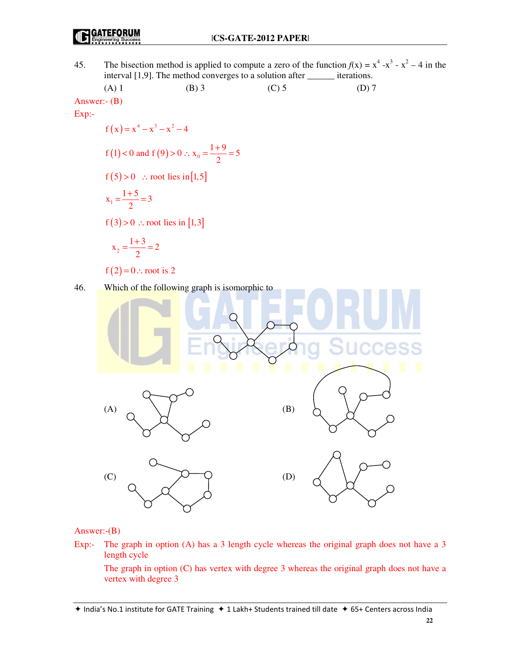#### **GATEFORUM** (IE

45. The bisection method is applied to compute a zero of the function  $f(x) = x^4 - x^3 - x^2 - 4$  in the interval  $[1,9]$ . The method converges to a solution after iterations.

(1) Answer:-(B)  
\nAnswer:-(B)  
\nExp:  
\n
$$
f(x)=x^4-x^3-x^2-4
$$
  
\n $f(1) < 0$  and  $f(9) > 0$   $\therefore x_0 = \frac{1+9}{2} = 5$   
\n $f(5) > 0$   $\therefore$  root lies in [1,5]  
\n $x_1 = \frac{1+5}{2} = 3$   
\n $f(2) = 0$   $\therefore$  root is 2  
\n46. Which of the following graph is isomorphic to  
\nWhich of the following graph is isomorphic to  
\n $\therefore$   $\therefore$   $\therefore$   $\therefore$   $\therefore$   $\therefore$   $\therefore$   $\therefore$   $\therefore$   $\therefore$   $\therefore$   $\therefore$   $\therefore$   $\therefore$   $\therefore$   $\therefore$   $\therefore$   $\therefore$   $\therefore$   $\therefore$   $\therefore$   $\therefore$   $\therefore$   $\therefore$   $\therefore$   $\therefore$   $\therefore$   $\therefore$   $\therefore$   $\therefore$   $\therefore$   $\therefore$   $\therefore$   $\therefore$   $\therefore$   $\therefore$   $\therefore$   $\therefore$   $\therefore$   $\therefore$   $\therefore$   $\therefore$   $\therefore$   $\therefore$   $\therefore$   $\therefore$   $\therefore$   $\therefore$   $\therefore$   $\therefore$   $\therefore$   $\therefore$   $\therefore$   $\therefore$   $\therefore$   $\therefore$   $\therefore$   $\therefore$   $\therefore$   $\therefore$   $\therefore$   $\therefore$   $\therefore$   $\therefore$   $\therefore$   $\therefore$   $\therefore$   $\therefore$   $\therefore$   $\therefore$ 

Answer:-(B)

Exp:- The graph in option (A) has a 3 length cycle whereas the original graph does not have a 3 length cycle

 The graph in option (C) has vertex with degree 3 whereas the original graph does not have a vertex with degree 3

 $\star$  India's No.1 institute for GATE Training  $\star$  1 Lakh+ Students trained till date  $\star$  65+ Centers across India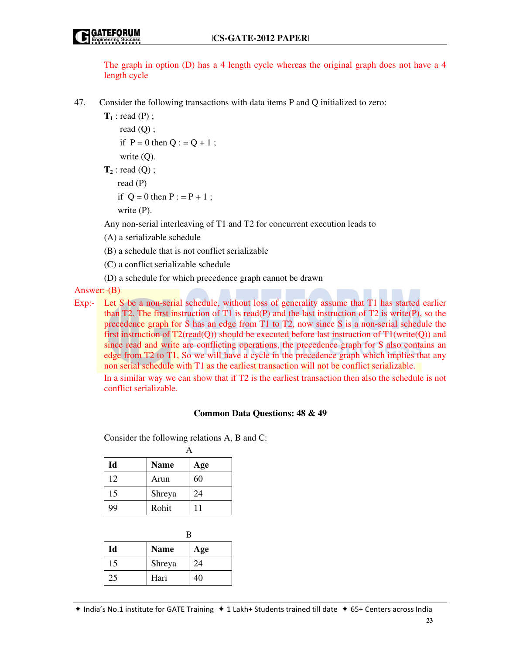The graph in option (D) has a 4 length cycle whereas the original graph does not have a 4 length cycle

47. Consider the following transactions with data items P and Q initialized to zero:

**T1** : read (P) ; read (Q) ; if  $P = 0$  then  $Q : Q + 1$ ; write (Q).

**T<sup>2</sup>** : read (Q) ; read (P) if  $Q = 0$  then  $P : P + 1$ ;

write (P).

Any non-serial interleaving of T1 and T2 for concurrent execution leads to

(A) a serializable schedule

(B) a schedule that is not conflict serializable

(C) a conflict serializable schedule

(D) a schedule for which precedence graph cannot be drawn

Answer:-(B)

Exp:- Let S be a non-serial schedule, without loss of generality assume that T1 has started earlier than T2. The first instruction of T1 is read(P) and the last instruction of T2 is write(P), so the precedence graph for S has an edge from T1 to T2, now since S is a non-serial schedule the first instruction of  $T2$ (read(Q)) should be executed before last instruction of  $T1$ (write(Q)) and since read and write are conflicting operations, the precedence graph for S also contains an edge from T2 to T1, So we will have a cycle in the precedence graph which implies that any non serial schedule with T1 as the earliest transaction will not be conflict serializable.

 In a similar way we can show that if T2 is the earliest transaction then also the schedule is not conflict serializable.

## **Common Data Questions: 48 & 49**

Consider the following relations A, B and C:

| Id | <b>Name</b> | Age |
|----|-------------|-----|
| 12 | Arun        | 60  |
| 15 | Shreya      | 24  |
| 99 | Rohit       | 11  |

| Id | <b>Name</b> | Age |  |
|----|-------------|-----|--|
| 15 | Shreya      | 24  |  |
| 25 | Hari        | 40  |  |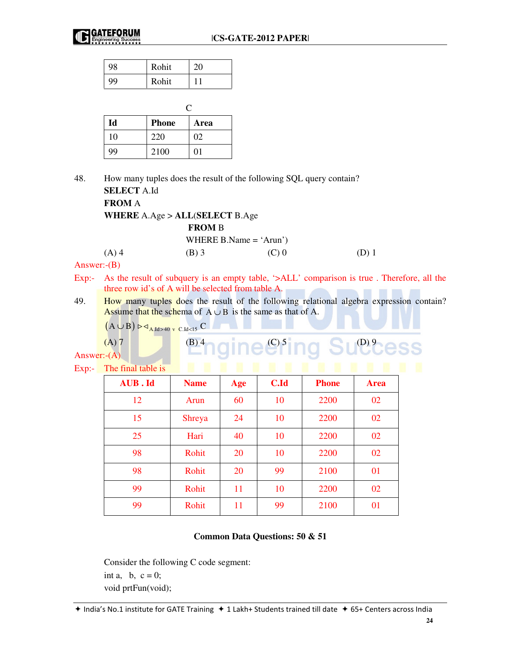| 98 | Rohit | 20 |
|----|-------|----|
| 99 | Rohit |    |

| Id | <b>Phone</b> | Area |  |
|----|--------------|------|--|
| 10 | 220          | 02   |  |
| 99 | 2100         | 01   |  |

48. How many tuples does the result of the following SQL query contain?

**SELECT** A.Id  **FROM** A

 **WHERE** A.Age > **ALL**(**SELECT** B.Age

**FROM** B

(A) 4 (B) 3 (C) 0 (D) 1

Answer:-(B)

- Exp:- As the result of subquery is an empty table, '>ALL' comparison is true. Therefore, all the three row id's of A will be selected from table A.
- 49. How many tuples does the result of the following relational algebra expression contain? Assume that the schema of  $A \cup B$  is the same as that of A.

 $(A \cup B) \triangleright \triangleleft_{A, Id > 40 \text{ y C.} Id < 15} C$ 

$$
(A)'
$$

(B) 4 gine C<sub>5</sub> ing Success

Answer:- $(A)$ 

Exp:- The final table is

| <b>AUB.Id</b> | <b>Name</b>   | Age | <b>C.Id</b> | <b>Phone</b> | <b>Area</b> |
|---------------|---------------|-----|-------------|--------------|-------------|
| 12            | Arun          | 60  | 10          | 2200         | 02          |
| 15            | <b>Shreya</b> | 24  | 10          | 2200         | 02          |
| 25            | Hari          | 40  | 10          | 2200         | 02          |
| 98            | Rohit         | 20  | 10          | 2200         | 02          |
| 98            | Rohit         | 20  | 99          | 2100         | 01          |
| 99            | Rohit         | 11  | 10          | 2200         | 02          |
| 99            | Rohit         | 11  | 99          | 2100         | 01          |
|               |               |     |             |              |             |

## **Common Data Questions: 50 & 51**

Consider the following C code segment: int a, b,  $c = 0$ ; void prtFun(void);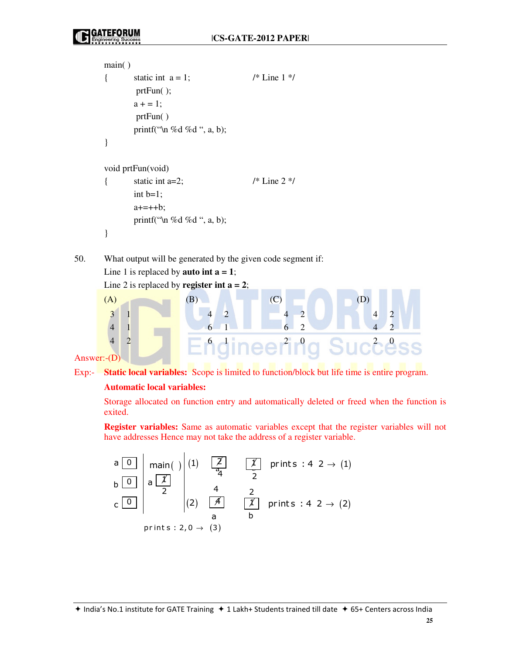```
main( ) 
{ static int a = 1; /* Line 1 */
        prtFun( ); 
       a + = 1;
        prtFun( ) 
        printf("\n %d %d ", a, b); 
} 
void prtFun(void) 
{ static int a=2; / /* Line 2 ^*/int b=1;
       a+=++b; printf("\n %d %d ", a, b); 
}
```
50. What output will be generated by the given code segment if: Line 1 is replaced by **auto int a = 1**;

Line 2 is replaced by **register int a = 2**;



Answer:-(D)

Exp:- **Static local variables:** Scope is limited to function/block but life time is entire program.

## **Automatic local variables:**

 Storage allocated on function entry and automatically deleted or freed when the function is exited.

 **Register variables:** Same as automatic variables except that the register variables will not have addresses Hence may not take the address of a register variable.

$$
\begin{array}{c|c|c|c}\n a & 0 & \text{main( )} & \text{(1)} & \boxed{2} & \boxed{1} & \text{prints : 4 2} \rightarrow (1) \\
 b & 0 & a & \boxed{1} & \boxed{2} & \boxed{4} & \boxed{2} \\
 c & 0 & 2 & \boxed{4} & \boxed{1} & \text{prints : 4 2} \rightarrow (2) \\
 & a & b & \text{prints : 2, 0} \rightarrow (3)\n\end{array}
$$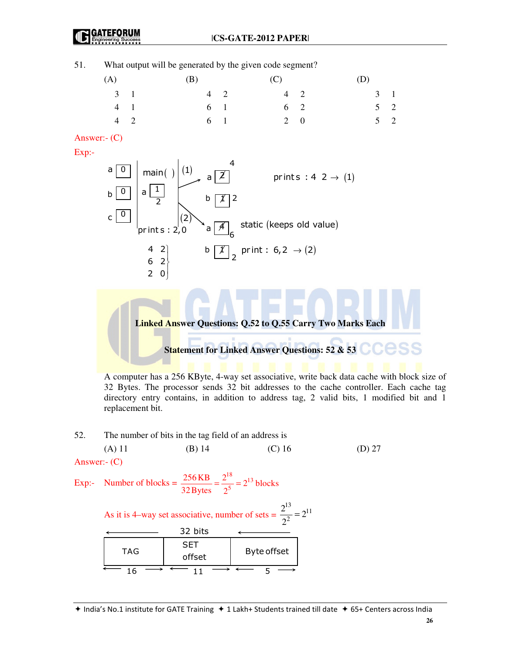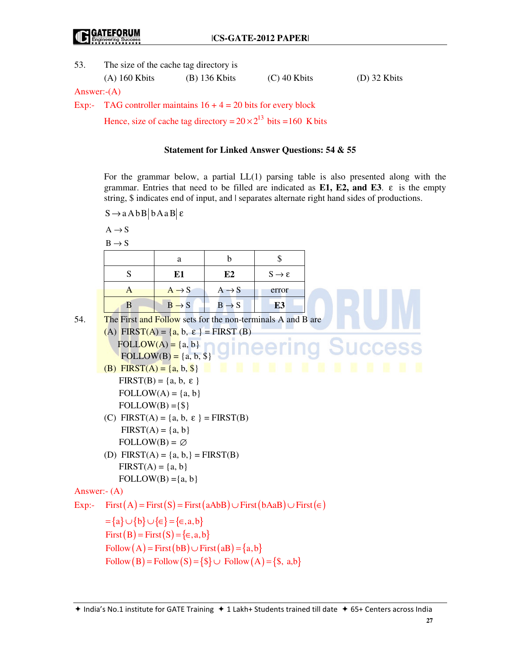53. The size of the cache tag directory is

| $(D)$ 32 Kbits<br>$(C)$ 40 Kbits<br>$(A)$ 160 Kbits<br>$(B)$ 136 Kbits |
|------------------------------------------------------------------------|
|------------------------------------------------------------------------|

Answer:-(A)

Exp:- TAG controller maintains  $16 + 4 = 20$  bits for every block

Hence, size of cache tag directory =  $20 \times 2^{13}$  bits =160 K bits

## **Statement for Linked Answer Questions: 54 & 55**

 For the grammar below, a partial LL(1) parsing table is also presented along with the grammar. Entries that need to be filled are indicated as **E1, E2, and E3**. ε is the empty string, \$ indicates end of input, and | separates alternate right hand sides of productions.

 $S \rightarrow aAbB$  b A a B  $\varepsilon$ 

 $A \rightarrow S$ 

 $B \rightarrow S$ 

|     | $D \to D$                                                                             |                                                             |                   |                             |                                          |
|-----|---------------------------------------------------------------------------------------|-------------------------------------------------------------|-------------------|-----------------------------|------------------------------------------|
|     |                                                                                       | a                                                           | b                 | \$                          |                                          |
|     | S                                                                                     | E1                                                          | E2                | $S \rightarrow \varepsilon$ |                                          |
|     | $\mathbf{A}$                                                                          | $A \rightarrow S$                                           | $A \rightarrow S$ | error                       |                                          |
|     | B                                                                                     | $B \rightarrow S$                                           | $B \rightarrow S$ | E <sub>3</sub>              |                                          |
| 54. | The First and Follow sets for the non-terminals A and B are                           |                                                             |                   |                             |                                          |
|     | (A) FIRST(A) = $\{a, b, \varepsilon\}$ = FIRST (B)                                    |                                                             |                   |                             |                                          |
|     |                                                                                       | $FOLLOW(A) = \{a, b\}$                                      |                   |                             | FOLLOW(A) = {a, b, \$} GINEETING SUCCESS |
|     |                                                                                       |                                                             |                   |                             |                                          |
|     | (B) FIRST(A) = $\{a, b, \$\}$                                                         |                                                             | л                 | Ħ<br>m<br>ш                 | <b>M</b>                                 |
|     |                                                                                       | $FIRST(B) = \{a, b, \varepsilon\}$                          |                   |                             |                                          |
|     |                                                                                       | $FOLLOW(A) = \{a, b\}$                                      |                   |                             |                                          |
|     | $FOLLOW(B) = \{\$\}$                                                                  |                                                             |                   |                             |                                          |
|     | (C) FIRST(A) = {a, b, $\varepsilon$ } = FIRST(B)                                      |                                                             |                   |                             |                                          |
|     |                                                                                       | $FIRST(A) = \{a, b\}$                                       |                   |                             |                                          |
|     | $FOLLOW(B) = \emptyset$                                                               |                                                             |                   |                             |                                          |
|     | (D) FIRST(A) = { $a, b,$ } = FIRST(B)                                                 |                                                             |                   |                             |                                          |
|     | $FIRST(A) = \{a, b\}$                                                                 |                                                             |                   |                             |                                          |
|     |                                                                                       | $FOLLOW(B) = \{a, b\}$                                      |                   |                             |                                          |
|     | Answer:- $(A)$                                                                        |                                                             |                   |                             |                                          |
|     | Exp:- First (A) = First (S) = First (aAbB) $\cup$ First (bAaB) $\cup$ First ( $\in$ ) |                                                             |                   |                             |                                          |
|     | $=\{a\} \cup \{b\} \cup \{\in\} = \{\in, a, b\}$                                      |                                                             |                   |                             |                                          |
|     |                                                                                       | First $(B)$ = First $(S)$ = { $\in$ , a, b}                 |                   |                             |                                          |
|     |                                                                                       | Follow $(A)$ = First $(bB)$ $\cup$ First $(aB)$ = $\{a,b\}$ |                   |                             |                                          |
|     |                                                                                       | Follow (B) = Follow (S) = { $\$\cup$ Follow (A) = {\$, a,b} |                   |                             |                                          |
|     |                                                                                       |                                                             |                   |                             |                                          |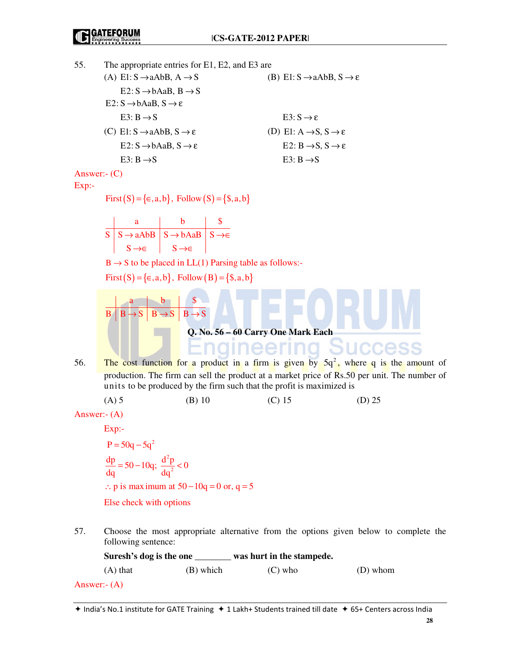| 55.            | The appropriate entries for E1, E2, and E3 are                     |                                                                                                  |                                                                                                                                              |  |                                                                       |                                                                                                                                                                                         |  |
|----------------|--------------------------------------------------------------------|--------------------------------------------------------------------------------------------------|----------------------------------------------------------------------------------------------------------------------------------------------|--|-----------------------------------------------------------------------|-----------------------------------------------------------------------------------------------------------------------------------------------------------------------------------------|--|
|                | (A) E1: $S \rightarrow aAbB$ , $A \rightarrow S$                   |                                                                                                  |                                                                                                                                              |  | (B) E1: $S \rightarrow aAbB$ , $S \rightarrow \varepsilon$            |                                                                                                                                                                                         |  |
|                |                                                                    | $E2: S \rightarrow bAaB, B \rightarrow S$<br>$E2: S \rightarrow bAaB, S \rightarrow \varepsilon$ |                                                                                                                                              |  |                                                                       |                                                                                                                                                                                         |  |
|                |                                                                    | $E3: B \rightarrow S$                                                                            |                                                                                                                                              |  | $E3: S \rightarrow \varepsilon$                                       |                                                                                                                                                                                         |  |
|                |                                                                    | (C) E1: $S \rightarrow aAbB$ , $S \rightarrow \varepsilon$                                       |                                                                                                                                              |  | (D) E1: $A \rightarrow S$ , $S \rightarrow \varepsilon$               |                                                                                                                                                                                         |  |
|                |                                                                    | $E2: S \rightarrow bAaB, S \rightarrow \varepsilon$                                              |                                                                                                                                              |  | E2: $B \rightarrow S$ , $S \rightarrow \varepsilon$                   |                                                                                                                                                                                         |  |
|                |                                                                    | E3: $B \rightarrow S$                                                                            |                                                                                                                                              |  | E3: $B \rightarrow S$                                                 |                                                                                                                                                                                         |  |
| Answer:- $(C)$ |                                                                    |                                                                                                  |                                                                                                                                              |  |                                                                       |                                                                                                                                                                                         |  |
| Exp:-          |                                                                    |                                                                                                  |                                                                                                                                              |  |                                                                       |                                                                                                                                                                                         |  |
|                |                                                                    | First $(S) = \{\in, a, b\}$ , Follow $(S) = \{\$, a, b\}$                                        |                                                                                                                                              |  |                                                                       |                                                                                                                                                                                         |  |
|                |                                                                    |                                                                                                  |                                                                                                                                              |  |                                                                       |                                                                                                                                                                                         |  |
|                | $\overline{S}$                                                     |                                                                                                  | $\begin{array}{c c}\n\text{a} & \text{b} & \text{\$} \\ \hline\nS \rightarrow aAbB & S \rightarrow bAaB & S \rightarrow \infty\n\end{array}$ |  |                                                                       |                                                                                                                                                                                         |  |
|                |                                                                    |                                                                                                  | $S \rightarrow \in$ $S \rightarrow \in$                                                                                                      |  |                                                                       |                                                                                                                                                                                         |  |
|                | $B \rightarrow S$ to be placed in LL(1) Parsing table as follows:- |                                                                                                  |                                                                                                                                              |  |                                                                       |                                                                                                                                                                                         |  |
|                | First $(S) = \{\epsilon, a, b\}$ , Follow $(B) = \{\$, a, b\}$     |                                                                                                  |                                                                                                                                              |  |                                                                       |                                                                                                                                                                                         |  |
|                |                                                                    | $B \mid B \rightarrow S$                                                                         | $\begin{array}{c c}\n\mathbf{b} & \mathbf{\$} \\ \hline\n\mathbf{B} \rightarrow \mathbf{S} & \mathbf{B} \rightarrow \mathbf{S}\n\end{array}$ |  |                                                                       |                                                                                                                                                                                         |  |
|                |                                                                    |                                                                                                  |                                                                                                                                              |  | Q. No. 56 - 60 Carry One Mark Each                                    |                                                                                                                                                                                         |  |
|                |                                                                    |                                                                                                  |                                                                                                                                              |  |                                                                       | <b>Idineering Success</b>                                                                                                                                                               |  |
| 56.            |                                                                    |                                                                                                  |                                                                                                                                              |  | units to be produced by the firm such that the profit is maximized is | The cost function for a product in a firm is given by $5q^2$ , where q is the amount of<br>production. The firm can sell the product at a market price of Rs.50 per unit. The number of |  |
|                |                                                                    | $(A)$ 5                                                                                          | $(B)$ 10                                                                                                                                     |  | $(C)$ 15                                                              | $(D)$ 25                                                                                                                                                                                |  |
| Answer:- $(A)$ |                                                                    |                                                                                                  |                                                                                                                                              |  |                                                                       |                                                                                                                                                                                         |  |
|                |                                                                    | Exp:                                                                                             |                                                                                                                                              |  |                                                                       |                                                                                                                                                                                         |  |
|                |                                                                    |                                                                                                  |                                                                                                                                              |  |                                                                       |                                                                                                                                                                                         |  |

P = 50q - 5q<sup>2</sup>  
\n
$$
\frac{dp}{dq}
$$
 = 50 - 10q;  $\frac{d^2p}{dq^2}$  < 0  
\n∴ p is maximum at 50 - 10q = 0 or, q = 5

Else check with options

57. Choose the most appropriate alternative from the options given below to complete the following sentence:

| Suresh's dog is the one |           | was hurt in the stampede. |          |
|-------------------------|-----------|---------------------------|----------|
| $(A)$ that              | (B) which | $(C)$ who                 | (D) whom |
| Answer:- $(A)$          |           |                           |          |

 $\star$  India's No.1 institute for GATE Training  $\star$  1 Lakh+ Students trained till date  $\star$  65+ Centers across India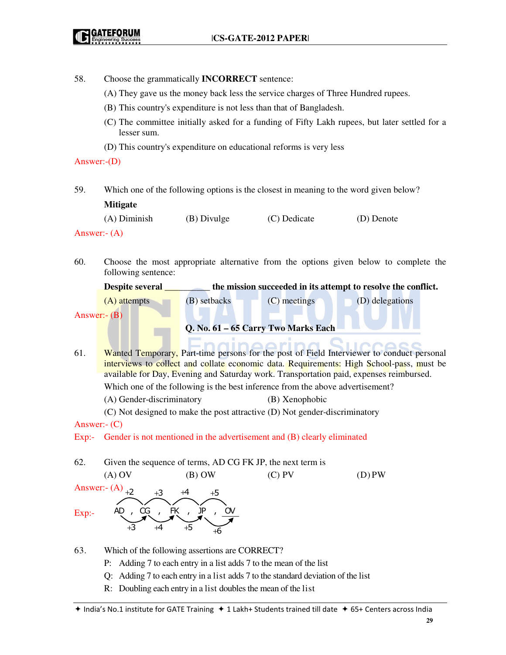- 58. Choose the grammatically **INCORRECT** sentence:
	- (A) They gave us the money back less the service charges of Three Hundred rupees.
	- (B) This country's expenditure is not less than that of Bangladesh.
	- (C) The committee initially asked for a funding of Fifty Lakh rupees, but later settled for a lesser sum.
	- (D) This country's expenditure on educational reforms is very less

### Answer:-(D)

59. Which one of the following options is the closest in meaning to the word given below? **Mitigate** 

| $(A)$ Diminish | (B) Divulge | (C) Dedicate | (D) Denote |
|----------------|-------------|--------------|------------|
|                |             |              |            |

Answer:- (A)

60. Choose the most appropriate alternative from the options given below to complete the following sentence:

| <b>Despite several</b>              | the mission succeeded in its attempt to resolve the conflict. |                |                 |  |
|-------------------------------------|---------------------------------------------------------------|----------------|-----------------|--|
| $(A)$ attempts                      | (B) setbacks                                                  | $(C)$ meetings | (D) delegations |  |
| Answer:- $(B)$                      |                                                               |                |                 |  |
| Q. No. 61 – 65 Carry Two Marks Each |                                                               |                |                 |  |

- 61. Wanted Temporary, Part-time persons for the post of Field Interviewer to conduct personal interviews to collect and collate economic data. Requirements: High School-pass, must be available for Day, Evening and Saturday work. Transportation paid, expenses reimbursed. Which one of the following is the best inference from the above advertisement? (A) Gender-discriminatory (B) Xenophobic
	- (C) Not designed to make the post attractive (D) Not gender-discriminatory

## Answer:- (C)

Exp:- Gender is not mentioned in the advertisement and (B) clearly eliminated

62. Given the sequence of terms, AD CG FK JP, the next term is

```
(A) OV (B) OW (C) PV (D) PW
Answer:- (A)<sub>+2</sub>
Exp:- 
      AD , CG , FK , JP+2 +3 +4 +5+3 +4 +5 +6
```
- 63. Which of the following assertions are CORRECT?
	- P: Adding 7 to each entry in a list adds 7 to the mean of the list
	- Q: Adding 7 to each entry in a list adds 7 to the standard deviation of the list
	- R: Doubling each entry in a list doubles the mean of the list